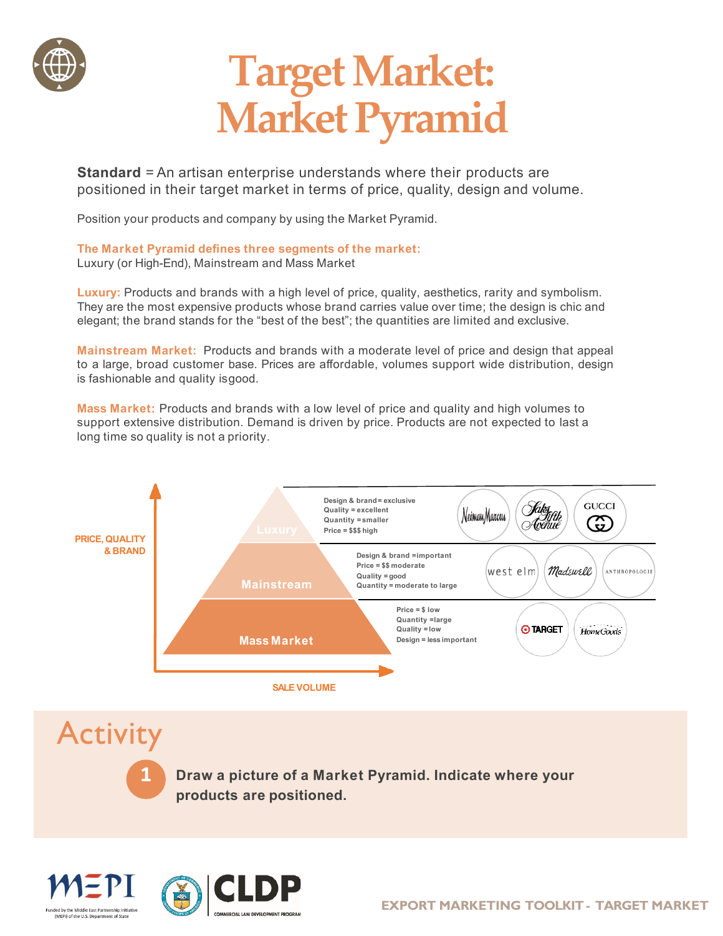

## **Target Market: Market Pyramid**

**Standard** = An artisan enterprise understands where their products are positioned in their target market in terms of price, quality, design and volume.

Position your products and company by using the Market Pyramid.

**The Market Pyramid defines three segments of the market:** Luxury (or High-End), Mainstream and Mass Market

**Luxury:** Products and brands with a high level of price, quality, aesthetics, rarity and symbolism. They are the most expensive products whose brand carries value over time; the design is chic and elegant; the brand stands for the "best of the best"; the quantities are limited and exclusive.

**Mainstream Market:** Products and brands with a moderate level of price and design that appeal to a large, broad customer base. Prices are affordable, volumes support wide distribution, design is fashionable and quality isgood.

**Mass Market:** Products and brands with a low level of price and quality and high volumes to support extensive distribution. Demand is driven by price. Products are not expected to last a long time so quality is not a priority.



**Activity 1 Draw <sup>a</sup> picture of <sup>a</sup> Market Pyramid. Indicate where your products are positioned.**



(MFPI) of the U.S. Dr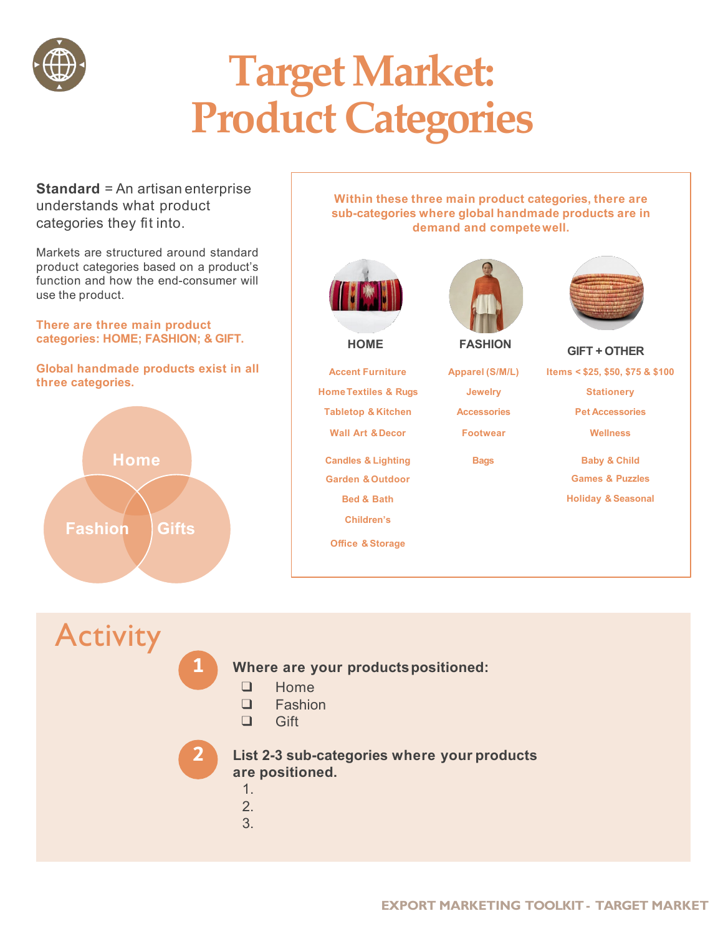

# **Target Market: Product Categories**

**Standard** = An artisan enterprise understands what product categories they fit into.

Markets are structured around standard product categories based on a product's function and how the end-consumer will use the product.

**There are three main product categories: HOME; FASHION; & GIFT.**

**Global handmade products exist in all three categories.**



**Within these three main product categories, there are sub-categories where global handmade products are in demand and competewell.**



**Accent Furniture HomeTextiles & Rugs Tabletop & Kitchen Wall Art &Decor**

**Candles & Lighting Garden &Outdoor Bed & Bath Children's**

**Office & Storage**

**Apparel (S/M/L) Jewelry**

**Accessories** 

**Footwear**



**FASHION GIFT + OTHER HOME**

**Items < \$25, \$50, \$75 & \$100**

**Stationery**

**Pet Accessories** 

**Wellness**

**Bags Baby & Child Games & Puzzles Holiday & Seasonal**

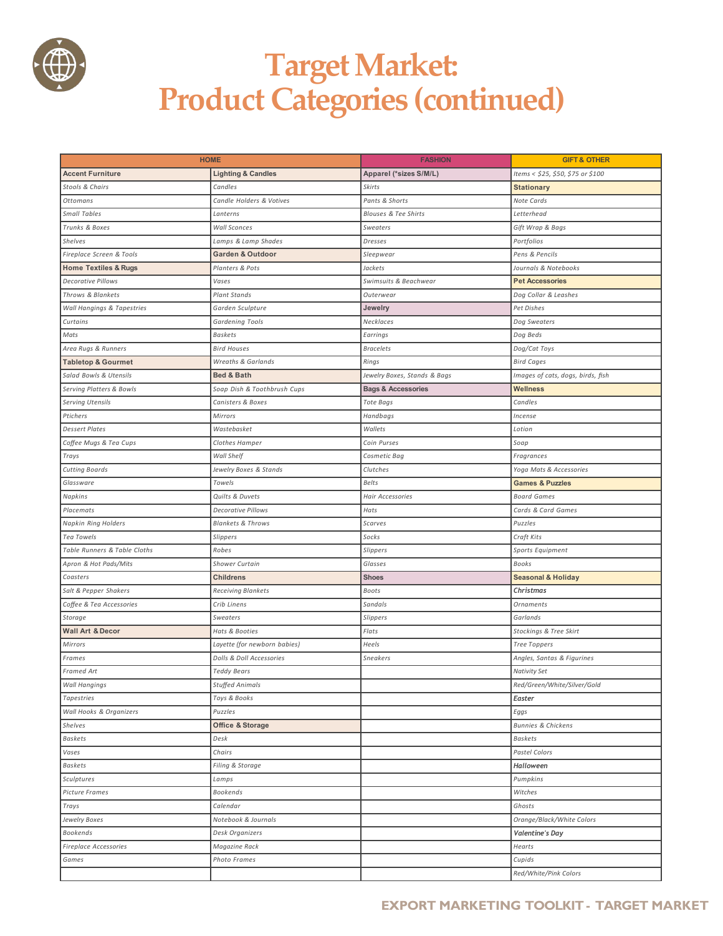

### **Target Market: Product Categories (continued)**

| <b>HOME</b>                     |                               | <b>FASHION</b>                  | <b>GIFT &amp; OTHER</b>           |
|---------------------------------|-------------------------------|---------------------------------|-----------------------------------|
| <b>Accent Furniture</b>         | <b>Lighting &amp; Candles</b> | Apparel (*sizes S/M/L)          | Items < \$25, \$50, \$75 or \$100 |
| Stools & Chairs                 | Candles                       | <b>Skirts</b>                   | <b>Stationary</b>                 |
| Ottomans                        | Candle Holders & Votives      | Pants & Shorts                  | Note Cards                        |
| <b>Small Tables</b>             | Lanterns                      | <b>Blouses &amp; Tee Shirts</b> | Letterhead                        |
| Trunks & Boxes                  | <b>Wall Sconces</b>           | Sweaters                        | Gift Wrap & Bags                  |
| Shelves                         | Lamps & Lamp Shades           | Dresses                         | Portfolios                        |
| Fireplace Screen & Tools        | <b>Garden &amp; Outdoor</b>   | Sleepwear                       | Pens & Pencils                    |
| <b>Home Textiles &amp; Rugs</b> | Planters & Pots               | Jackets                         | Journals & Notebooks              |
| <b>Decorative Pillows</b>       | Vases                         | Swimsuits & Beachwear           | <b>Pet Accessories</b>            |
| Throws & Blankets               | <b>Plant Stands</b>           | Outerwear                       | Dog Collar & Leashes              |
| Wall Hangings & Tapestries      | Garden Sculpture              | Jewelry                         | Pet Dishes                        |
| Curtains                        | <b>Gardening Tools</b>        | Necklaces                       | Dog Sweaters                      |
| Mats                            | <b>Baskets</b>                | Earrings                        | Dog Beds                          |
| Area Rugs & Runners             | <b>Bird Houses</b>            | <b>Bracelets</b>                | Dog/Cat Toys                      |
| <b>Tabletop &amp; Gourmet</b>   | <b>Wreaths &amp; Garlands</b> | Rings                           | <b>Bird Cages</b>                 |
| Salad Bowls & Utensils          | Bed & Bath                    | Jewelry Boxes, Stands & Bags    | Images of cats, dogs, birds, fish |
| Serving Platters & Bowls        | Soap Dish & Toothbrush Cups   | <b>Bags &amp; Accessories</b>   | <b>Wellness</b>                   |
| Serving Utensils                | Canisters & Boxes             | Tote Bags                       | Candles                           |
| Ptichers                        | Mirrors                       | Handbags                        | Incense                           |
| <b>Dessert Plates</b>           | Wastebasket                   | Wallets                         | Lotion                            |
| Coffee Mugs & Tea Cups          | Clothes Hamper                | Coin Purses                     | Soap                              |
| Trays                           | Wall Shelf                    | Cosmetic Bag                    | Fragrances                        |
| <b>Cutting Boards</b>           | Jewelry Boxes & Stands        | Clutches                        | Yoga Mats & Accessories           |
| Glassware                       | Towels                        | <b>Belts</b>                    | <b>Games &amp; Puzzles</b>        |
| Napkins                         | Quilts & Duvets               | Hair Accessories                | <b>Board Games</b>                |
| Placemats                       | <b>Decorative Pillows</b>     | Hats                            | Cards & Card Games                |
| <b>Napkin Ring Holders</b>      | <b>Blankets &amp; Throws</b>  | Scarves                         | Puzzles                           |
| <b>Tea Towels</b>               | Slippers                      | Socks                           | Craft Kits                        |
| Table Runners & Table Cloths    | Robes                         | Slippers                        | Sports Equipment                  |
| Apron & Hot Pads/Mits           | Shower Curtain                | Glasses                         | Books                             |
| Coasters                        | <b>Childrens</b>              | <b>Shoes</b>                    | <b>Seasonal &amp; Holiday</b>     |
| Salt & Pepper Shakers           | <b>Receiving Blankets</b>     | Boots                           | <b>Christmas</b>                  |
| Coffee & Tea Accessories        | Crib Linens                   | Sandals                         | Ornaments                         |
| Storage                         | Sweaters                      | Slippers                        | Garlands                          |
| <b>Wall Art &amp; Decor</b>     | Hats & Booties                | Flats                           | Stockings & Tree Skirt            |
| Mirrors                         | Layette (for newborn babies)  | Heels                           | <b>Tree Toppers</b>               |
| Frames                          | Dolls & Doll Accessories      | Sneakers                        | Angles, Santas & Figurines        |
| Framed Art                      | <b>Teddy Bears</b>            |                                 | Nativity Set                      |
| Wall Hangings                   | Stuffed Animals               |                                 | Red/Green/White/Silver/Gold       |
| Tapestries                      | Toys & Books                  |                                 | Easter                            |
| Wall Hooks & Organizers         | Puzzles                       |                                 | Eggs                              |
| Shelves                         | <b>Office &amp; Storage</b>   |                                 | <b>Bunnies &amp; Chickens</b>     |
| Baskets                         | Desk                          |                                 | Baskets                           |
| Vases                           | Chairs                        |                                 | Pastel Colors                     |
| Baskets                         | Filing & Storage              |                                 | Halloween                         |
| Sculptures                      | Lamps                         |                                 | Pumpkins                          |
| Picture Frames                  | <b>Bookends</b>               |                                 | Witches                           |
| Trays                           | Calendar                      |                                 | Ghosts                            |
| Jewelry Boxes                   | Notebook & Journals           |                                 | Orange/Black/White Colors         |
| Bookends                        | Desk Organizers               |                                 | <b>Valentine's Day</b>            |
| <b>Fireplace Accessories</b>    | Magazine Rack                 |                                 | Hearts                            |
| Games                           | Photo Frames                  |                                 | Cupids                            |
|                                 |                               |                                 | Red/White/Pink Colors             |